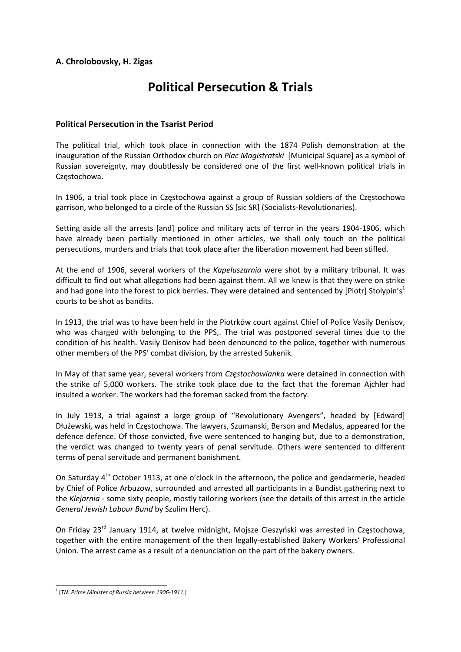## **A. Chrolobovsky, H. Zigas**

# **Political Persecution & Trials**

### **Political Persecution in the Tsarist Period**

The political trial, which took place in connection with the 1874 Polish demonstration at the inauguration of the Russian Orthodox church on *Plac Magistratski* [Municipal Square] as a symbol of Russian sovereignty, may doubtlessly be considered one of the first well-known political trials in Częstochowa.

In 1906, a trial took place in Częstochowa against a group of Russian soldiers of the Częstochowa garrison, who belonged to a circle of the Russian SS [sic SR] (Socialists‐Revolutionaries).

Setting aside all the arrests [and] police and military acts of terror in the years 1904‐1906, which have already been partially mentioned in other articles, we shall only touch on the political persecutions, murders and trials that took place after the liberation movement had been stifled.

At the end of 1906, several workers of the *Kapeluszarnia* were shot by a military tribunal. It was difficult to find out what allegations had been against them. All we knew is that they were on strike and had gone into the forest to pick berries. They were detained and sentenced by [Piotr] Stolypin's<sup>1</sup> courts to be shot as bandits.

In 1913, the trial was to have been held in the Piotrków court against Chief of Police Vasily Denisov, who was charged with belonging to the PPS,. The trial was postponed several times due to the condition of his health. Vasily Denisov had been denounced to the police, together with numerous other members of the PPS' combat division, by the arrested Sukenik.

In May of that same year, several workers from *Częstochowianka* were detained in connection with the strike of 5,000 workers. The strike took place due to the fact that the foreman Ajchler had insulted a worker. The workers had the foreman sacked from the factory.

In July 1913, a trial against a large group of "Revolutionary Avengers", headed by [Edward] Dłużewski, was held in Częstochowa. The lawyers, Szumanski, Berson and Medalus, appeared for the defence defence. Of those convicted, five were sentenced to hanging but, due to a demonstration, the verdict was changed to twenty years of penal servitude. Others were sentenced to different terms of penal servitude and permanent banishment.

On Saturday 4<sup>th</sup> October 1913, at one o'clock in the afternoon, the police and gendarmerie, headed by Chief of Police Arbuzow, surrounded and arrested all participants in a Bundist gathering next to the *Klejarnia* ‐ some sixty people, mostly tailoring workers (see the details of this arrest in the article *General Jewish Labour Bund* by Szulim Herc).

On Friday 23<sup>rd</sup> January 1914, at twelve midnight, Mojsze Cieszyński was arrested in Czestochowa, together with the entire management of the then legally‐established Bakery Workers' Professional Union. The arrest came as a result of a denunciation on the part of the bakery owners.

 <sup>1</sup> [*TN: Prime Minister of Russia between <sup>1906</sup>‐1911.*]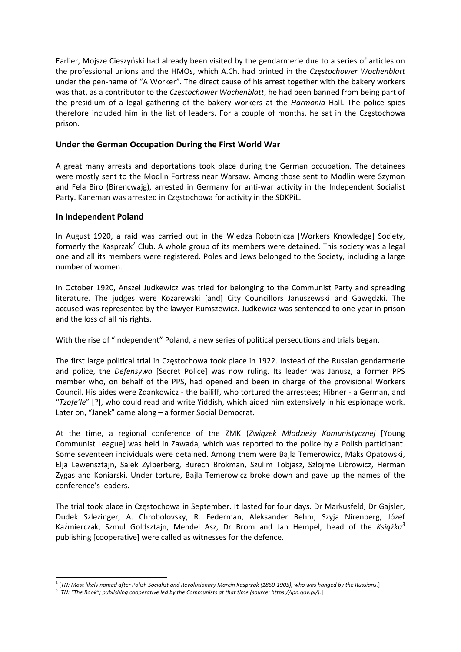Earlier, Mojsze Cieszyński had already been visited by the gendarmerie due to a series of articles on the professional unions and the HMOs, which A.Ch. had printed in the *Częstochower Wochenblatt* under the pen‐name of "A Worker". The direct cause of his arrest together with the bakery workers was that, as a contributor to the *Częstochower Wochenblatt*, he had been banned from being part of the presidium of a legal gathering of the bakery workers at the *Harmonia* Hall. The police spies therefore included him in the list of leaders. For a couple of months, he sat in the Częstochowa prison.

### **Under the German Occupation During the First World War**

A great many arrests and deportations took place during the German occupation. The detainees were mostly sent to the Modlin Fortress near Warsaw. Among those sent to Modlin were Szymon and Fela Biro (Birencwajg), arrested in Germany for anti-war activity in the Independent Socialist Party. Kaneman was arrested in Częstochowa for activity in the SDKPiL.

#### **In Independent Poland**

In August 1920, a raid was carried out in the Wiedza Robotnicza [Workers Knowledge] Society, formerly the Kasprzak<sup>2</sup> Club. A whole group of its members were detained. This society was a legal one and all its members were registered. Poles and Jews belonged to the Society, including a large number of women.

In October 1920, Anszel Judkewicz was tried for belonging to the Communist Party and spreading literature. The judges were Kozarewski [and] City Councillors Januszewski and Gawędzki. The accused was represented by the lawyer Rumszewicz. Judkewicz was sentenced to one year in prison and the loss of all his rights.

With the rise of "Independent" Poland, a new series of political persecutions and trials began.

The first large political trial in Częstochowa took place in 1922. Instead of the Russian gendarmerie and police, the *Defensywa* [Secret Police] was now ruling. Its leader was Janusz, a former PPS member who, on behalf of the PPS, had opened and been in charge of the provisional Workers Council. His aides were Zdankowicz ‐ the bailiff, who tortured the arrestees; Hibner ‐ a German, and "*Tzofe'le*" [?], who could read and write Yiddish, which aided him extensively in his espionage work. Later on, "Janek" came along – a former Social Democrat.

At the time, a regional conference of the ZMK (*Związek Młodzieży Komunistycznej* [Young Communist League] was held in Zawada, which was reported to the police by a Polish participant. Some seventeen individuals were detained. Among them were Bajla Temerowicz, Maks Opatowski, Elja Lewensztajn, Salek Zylberberg, Burech Brokman, Szulim Tobjasz, Szlojme Librowicz, Herman Zygas and Koniarski. Under torture, Bajla Temerowicz broke down and gave up the names of the conference's leaders.

The trial took place in Częstochowa in September. It lasted for four days. Dr Markusfeld, Dr Gajsler, Dudek Szlezinger, A. Chrobolovsky, R. Federman, Aleksander Behm, Szyja Nirenberg, Józef Kaźmierczak, Szmul Goldsztajn, Mendel Asz, Dr Brom and Jan Hempel, head of the *Książka<sup>3</sup>* publishing [cooperative] were called as witnesses for the defence.

<sup>&</sup>lt;sup>2</sup> [TN: Most likely named after Polish Socialist and Revolutionary Marcin Kasprzak (1860-1905), who was hanged by the Russians.]

<sup>3</sup> [*TN: "The Book"; publishing cooperative led by the Communists at that time (source: https://ipn.gov.pl/).*]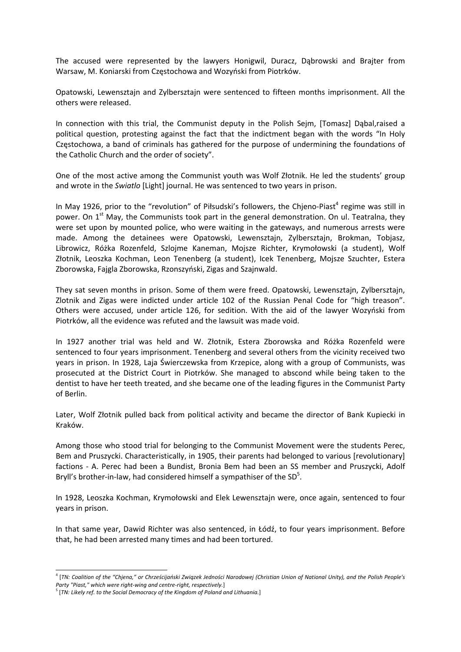The accused were represented by the lawyers Honigwil, Duracz, Dąbrowski and Brajter from Warsaw, M. Koniarski from Częstochowa and Wozyński from Piotrków.

Opatowski, Lewensztajn and Zylbersztajn were sentenced to fifteen months imprisonment. All the others were released.

In connection with this trial, the Communist deputy in the Polish Sejm, [Tomasz] Dąbal,raised a political question, protesting against the fact that the indictment began with the words "In Holy Częstochowa, a band of criminals has gathered for the purpose of undermining the foundations of the Catholic Church and the order of society".

One of the most active among the Communist youth was Wolf Złotnik. He led the students' group and wrote in the *Swiatlo* [Light] journal. He was sentenced to two years in prison.

In May 1926, prior to the "revolution" of Piłsudski's followers, the Chjeno-Piast<sup>4</sup> regime was still in power. On  $1^{st}$  May, the Communists took part in the general demonstration. On ul. Teatralna, they were set upon by mounted police, who were waiting in the gateways, and numerous arrests were made. Among the detainees were Opatowski, Lewensztajn, Zylbersztajn, Brokman, Tobjasz, Librowicz, Różka Rozenfeld, Szlojme Kaneman, Mojsze Richter, Krymołowski (a student), Wolf Złotnik, Leoszka Kochman, Leon Tenenberg (a student), Icek Tenenberg, Mojsze Szuchter, Estera Zborowska, Fajgla Zborowska, Rzonszyński, Zigas and Szajnwald.

They sat seven months in prison. Some of them were freed. Opatowski, Lewensztajn, Zylbersztajn, Zlotnik and Zigas were indicted under article 102 of the Russian Penal Code for "high treason". Others were accused, under article 126, for sedition. With the aid of the lawyer Wozyński from Piotrków, all the evidence was refuted and the lawsuit was made void.

In 1927 another trial was held and W. Złotnik, Estera Zborowska and Różka Rozenfeld were sentenced to four years imprisonment. Tenenberg and several others from the vicinity received two years in prison. In 1928, Laja Świerczewska from Krzepice, along with a group of Communists, was prosecuted at the District Court in Piotrków. She managed to abscond while being taken to the dentist to have her teeth treated, and she became one of the leading figures in the Communist Party of Berlin.

Later, Wolf Złotnik pulled back from political activity and became the director of Bank Kupiecki in Kraków.

Among those who stood trial for belonging to the Communist Movement were the students Perec, Bem and Pruszycki. Characteristically, in 1905, their parents had belonged to various [revolutionary] factions ‐ A. Perec had been a Bundist, Bronia Bem had been an SS member and Pruszycki, Adolf Bryll's brother-in-law, had considered himself a sympathiser of the  $SD<sup>5</sup>$ .

In 1928, Leoszka Kochman, Krymołowski and Elek Lewensztajn were, once again, sentenced to four years in prison.

In that same year, Dawid Richter was also sentenced, in Łódź, to four years imprisonment. Before that, he had been arrested many times and had been tortured.

<sup>&</sup>lt;sup>4</sup> [TN: Coalition of the "Chjena," or Chrześcijański Związek Jedności Narodowej (Christian Union of National Unity), and the Polish People's *Party "Piast," which were right‐wing and centre‐right, respectively.*] 

<sup>5</sup> [*TN: Likely ref. to the Social Democracy of the Kingdom of Poland and Lithuania.*]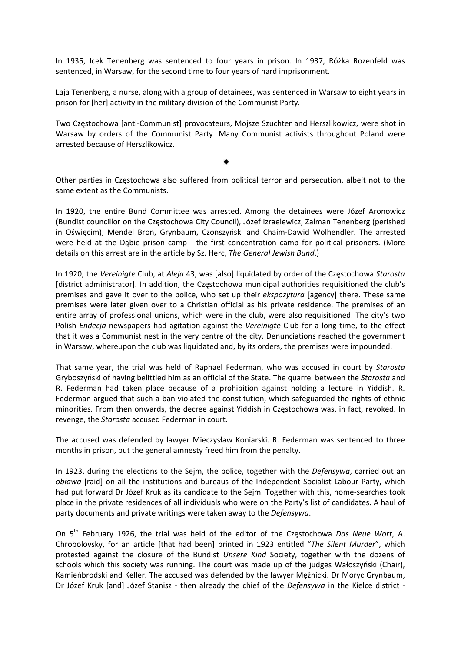In 1935, Icek Tenenberg was sentenced to four years in prison. In 1937, Różka Rozenfeld was sentenced, in Warsaw, for the second time to four years of hard imprisonment.

Laja Tenenberg, a nurse, along with a group of detainees, was sentenced in Warsaw to eight years in prison for [her] activity in the military division of the Communist Party.

Two Częstochowa [anti‐Communist] provocateurs, Mojsze Szuchter and Herszlikowicz, were shot in Warsaw by orders of the Communist Party. Many Communist activists throughout Poland were arrested because of Herszlikowicz.

Other parties in Częstochowa also suffered from political terror and persecution, albeit not to the same extent as the Communists.

In 1920, the entire Bund Committee was arrested. Among the detainees were Józef Aronowicz (Bundist councillor on the Częstochowa City Council), Józef Izraelewicz, Zalman Tenenberg (perished in Oświęcim), Mendel Bron, Grynbaum, Czonszyński and Chaim‐Dawid Wolhendler. The arrested were held at the Dabie prison camp - the first concentration camp for political prisoners. (More details on this arrest are in the article by Sz. Herc, *The General Jewish Bund*.)

In 1920, the *Vereinigte* Club, at *Aleja* 43, was [also] liquidated by order of the Częstochowa *Starosta* [district administrator]. In addition, the Częstochowa municipal authorities requisitioned the club's premises and gave it over to the police, who set up their *ekspozytura* [agency] there. These same premises were later given over to a Christian official as his private residence. The premises of an entire array of professional unions, which were in the club, were also requisitioned. The city's two Polish *Endecja* newspapers had agitation against the *Vereinigte* Club for a long time, to the effect that it was a Communist nest in the very centre of the city. Denunciations reached the government in Warsaw, whereupon the club was liquidated and, by its orders, the premises were impounded.

That same year, the trial was held of Raphael Federman, who was accused in court by *Starosta* Gryboszyński of having belittled him as an official of the State. The quarrel between the *Starosta* and R. Federman had taken place because of a prohibition against holding a lecture in Yiddish. R. Federman argued that such a ban violated the constitution, which safeguarded the rights of ethnic minorities. From then onwards, the decree against Yiddish in Częstochowa was, in fact, revoked. In revenge, the *Starosta* accused Federman in court.

The accused was defended by lawyer Mieczysław Koniarski. R. Federman was sentenced to three months in prison, but the general amnesty freed him from the penalty.

In 1923, during the elections to the Sejm, the police, together with the *Defensywa*, carried out an *obława* [raid] on all the institutions and bureaus of the Independent Socialist Labour Party, which had put forward Dr Józef Kruk as its candidate to the Sejm. Together with this, home-searches took place in the private residences of all individuals who were on the Party's list of candidates. A haul of party documents and private writings were taken away to the *Defensywa*.

On 5th February 1926, the trial was held of the editor of the Częstochowa *Das Neue Wort*, A. Chrobolovsky, for an article [that had been] printed in 1923 entitled "*The Silent Murder*", which protested against the closure of the Bundist *Unsere Kind* Society, together with the dozens of schools which this society was running. The court was made up of the judges Wałoszyński (Chair), Kamieńbrodski and Keller. The accused was defended by the lawyer Mężnicki. Dr Moryc Grynbaum, Dr Józef Kruk [and] Józef Stanisz - then already the chief of the *Defensywa* in the Kielce district -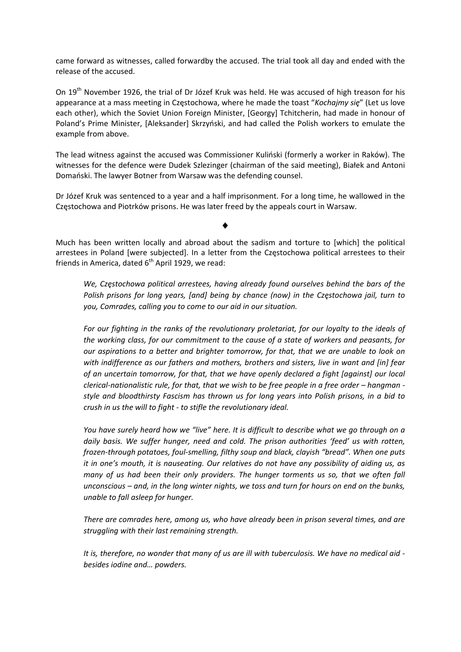came forward as witnesses, called forwardby the accused. The trial took all day and ended with the release of the accused.

On 19<sup>th</sup> November 1926, the trial of Dr Józef Kruk was held. He was accused of high treason for his appearance at a mass meeting in Częstochowa, where he made the toast "*Kochajmy się*" (Let us love each other), which the Soviet Union Foreign Minister, [Georgy] Tchitcherin, had made in honour of Poland's Prime Minister, [Aleksander] Skrzyński, and had called the Polish workers to emulate the example from above.

The lead witness against the accused was Commissioner Kuliński (formerly a worker in Raków). The witnesses for the defence were Dudek Szlezinger (chairman of the said meeting), Białek and Antoni Domański. The lawyer Botner from Warsaw was the defending counsel.

Dr Józef Kruk was sentenced to a year and a half imprisonment. For a long time, he wallowed in the Częstochowa and Piotrków prisons. He was later freed by the appeals court in Warsaw.

Much has been written locally and abroad about the sadism and torture to [which] the political arrestees in Poland [were subjected]. In a letter from the Częstochowa political arrestees to their friends in America, dated  $6<sup>th</sup>$  April 1929, we read:

*We, Częstochowa political arrestees, having already found ourselves behind the bars of the Polish prisons for long years, [and] being by chance (now) in the Częstochowa jail, turn to you, Comrades, calling you to come to our aid in our situation.* 

*For our fighting in the ranks of the revolutionary proletariat, for our loyalty to the ideals of the working class, for our commitment to the cause of a state of workers and peasants, for our aspirations to a better and brighter tomorrow, for that, that we are unable to look on with indifference as our fathers and mothers, brothers and sisters, live in want and [in] fear of an uncertain tomorrow, for that, that we have openly declared a fight [against] our local* clerical-nationalistic rule, for that, that we wish to be free people in a free order - hangman *style and bloodthirsty Fascism has thrown us for long years into Polish prisons, in a bid to crush in us the will to fight ‐ to stifle the revolutionary ideal.*

You have surely heard how we "live" here. It is difficult to describe what we go through on a *daily basis. We suffer hunger, need and cold. The prison authorities 'feed' us with rotten, frozen‐through potatoes, foul‐smelling, filthy soup and black, clayish "bread". When one puts it in one's mouth, it is nauseating. Our relatives do not have any possibility of aiding us, as many of us had been their only providers. The hunger torments us so, that we often fall* unconscious  $-$  and, in the long winter nights, we toss and turn for hours on end on the bunks, *unable to fall asleep for hunger.*

*There are comrades here, among us, who have already been in prison several times, and are struggling with their last remaining strength.* 

It is, therefore, no wonder that many of us are ill with tuberculosis. We have no medical aid *besides iodine and… powders.*